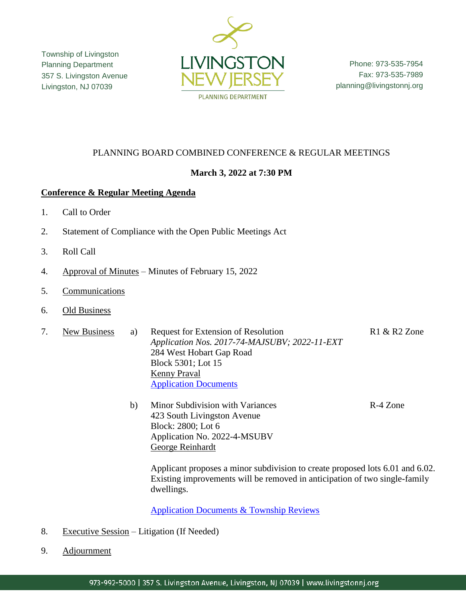Township of Livingston Planning Department 357 S. Livingston Avenue Livingston, NJ 07039



Phone: 973-535-7954 Fax: 973-535-7989 planning@livingstonnj.org

# PLANNING BOARD COMBINED CONFERENCE & REGULAR MEETINGS

## **March 3, 2022 at 7:30 PM**

### **Conference & Regular Meeting Agenda**

- 1. Call to Order
- 2. Statement of Compliance with the Open Public Meetings Act
- 3. Roll Call
- 4. Approval of Minutes Minutes of February 15, 2022
- 5. Communications
- 6. Old Business
- 7. New Business a) Request for Extension of Resolution R1 & R2 Zone *Application Nos. 2017-74-MAJSUBV; 2022-11-EXT* 284 West Hobart Gap Road Block 5301; Lot 15 Kenny Praval [Application Documents](http://livingstonnj.org/DocumentCenter/View/13305/284-W-Hobart-Gap-Road---Application-Docs)
	- b) Minor Subdivision with Variances R-4 Zone 423 South Livingston Avenue Block: 2800; Lot 6 Application No. 2022-4-MSUBV George Reinhardt

Applicant proposes a minor subdivision to create proposed lots 6.01 and 6.02. Existing improvements will be removed in anticipation of two single-family dwellings.

[Application Documents & Township Reviews](http://livingstonnj.org/DocumentCenter/View/13303/423-S-Livingston-Ave---Application-Docs)

- 8. Executive Session Litigation (If Needed)
- 9. Adjournment